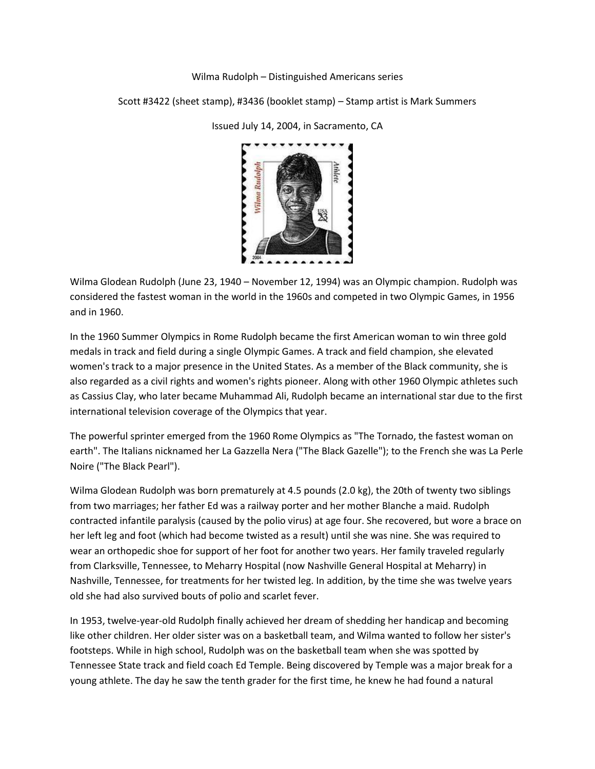## Wilma Rudolph – Distinguished Americans series

Scott #3422 (sheet stamp), #3436 (booklet stamp) – Stamp artist is Mark Summers



Issued July 14, 2004, in Sacramento, CA

Wilma Glodean Rudolph (June 23, 1940 – November 12, 1994) was an Olympic champion. Rudolph was considered the fastest woman in the world in the 1960s and competed in two Olympic Games, in 1956 and in 1960.

In the 1960 Summer Olympics in Rome Rudolph became the first American woman to win three gold medals in track and field during a single Olympic Games. A track and field champion, she elevated women's track to a major presence in the United States. As a member of the Black community, she is also regarded as a civil rights and women's rights pioneer. Along with other 1960 Olympic athletes such as Cassius Clay, who later became Muhammad Ali, Rudolph became an international star due to the first international television coverage of the Olympics that year.

The powerful sprinter emerged from the 1960 Rome Olympics as "The Tornado, the fastest woman on earth". The Italians nicknamed her La Gazzella Nera ("The Black Gazelle"); to the French she was La Perle Noire ("The Black Pearl").

Wilma Glodean Rudolph was born prematurely at 4.5 pounds (2.0 kg), the 20th of twenty two siblings from two marriages; her father Ed was a railway porter and her mother Blanche a maid. Rudolph contracted infantile paralysis (caused by the polio virus) at age four. She recovered, but wore a brace on her left leg and foot (which had become twisted as a result) until she was nine. She was required to wear an orthopedic shoe for support of her foot for another two years. Her family traveled regularly from Clarksville, Tennessee, to Meharry Hospital (now Nashville General Hospital at Meharry) in Nashville, Tennessee, for treatments for her twisted leg. In addition, by the time she was twelve years old she had also survived bouts of polio and scarlet fever.

In 1953, twelve-year-old Rudolph finally achieved her dream of shedding her handicap and becoming like other children. Her older sister was on a basketball team, and Wilma wanted to follow her sister's footsteps. While in high school, Rudolph was on the basketball team when she was spotted by Tennessee State track and field coach Ed Temple. Being discovered by Temple was a major break for a young athlete. The day he saw the tenth grader for the first time, he knew he had found a natural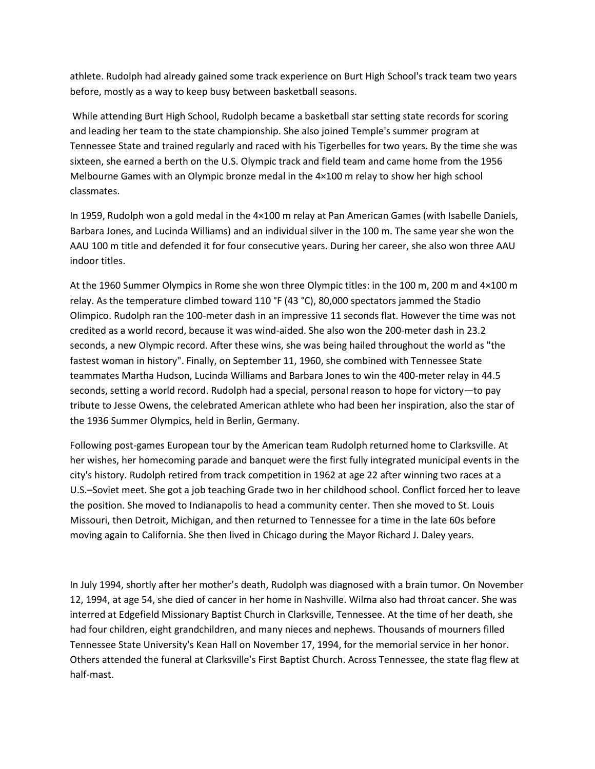athlete. Rudolph had already gained some track experience on Burt High School's track team two years before, mostly as a way to keep busy between basketball seasons.

While attending Burt High School, Rudolph became a basketball star setting state records for scoring and leading her team to the state championship. She also joined Temple's summer program at Tennessee State and trained regularly and raced with his Tigerbelles for two years. By the time she was sixteen, she earned a berth on the U.S. Olympic track and field team and came home from the 1956 Melbourne Games with an Olympic bronze medal in the 4×100 m relay to show her high school classmates.

In 1959, Rudolph won a gold medal in the 4×100 m relay at Pan American Games (with Isabelle Daniels, Barbara Jones, and Lucinda Williams) and an individual silver in the 100 m. The same year she won the AAU 100 m title and defended it for four consecutive years. During her career, she also won three AAU indoor titles.

At the 1960 Summer Olympics in Rome she won three Olympic titles: in the 100 m, 200 m and 4×100 m relay. As the temperature climbed toward 110 °F (43 °C), 80,000 spectators jammed the Stadio Olimpico. Rudolph ran the 100-meter dash in an impressive 11 seconds flat. However the time was not credited as a world record, because it was wind-aided. She also won the 200-meter dash in 23.2 seconds, a new Olympic record. After these wins, she was being hailed throughout the world as "the fastest woman in history". Finally, on September 11, 1960, she combined with Tennessee State teammates Martha Hudson, Lucinda Williams and Barbara Jones to win the 400-meter relay in 44.5 seconds, setting a world record. Rudolph had a special, personal reason to hope for victory—to pay tribute to Jesse Owens, the celebrated American athlete who had been her inspiration, also the star of the 1936 Summer Olympics, held in Berlin, Germany.

Following post-games European tour by the American team Rudolph returned home to Clarksville. At her wishes, her homecoming parade and banquet were the first fully integrated municipal events in the city's history. Rudolph retired from track competition in 1962 at age 22 after winning two races at a U.S.–Soviet meet. She got a job teaching Grade two in her childhood school. Conflict forced her to leave the position. She moved to Indianapolis to head a community center. Then she moved to St. Louis Missouri, then Detroit, Michigan, and then returned to Tennessee for a time in the late 60s before moving again to California. She then lived in Chicago during the Mayor Richard J. Daley years.

In July 1994, shortly after her mother's death, Rudolph was diagnosed with a brain tumor. On November 12, 1994, at age 54, she died of cancer in her home in Nashville. Wilma also had throat cancer. She was interred at Edgefield Missionary Baptist Church in Clarksville, Tennessee. At the time of her death, she had four children, eight grandchildren, and many nieces and nephews. Thousands of mourners filled Tennessee State University's Kean Hall on November 17, 1994, for the memorial service in her honor. Others attended the funeral at Clarksville's First Baptist Church. Across Tennessee, the state flag flew at half-mast.